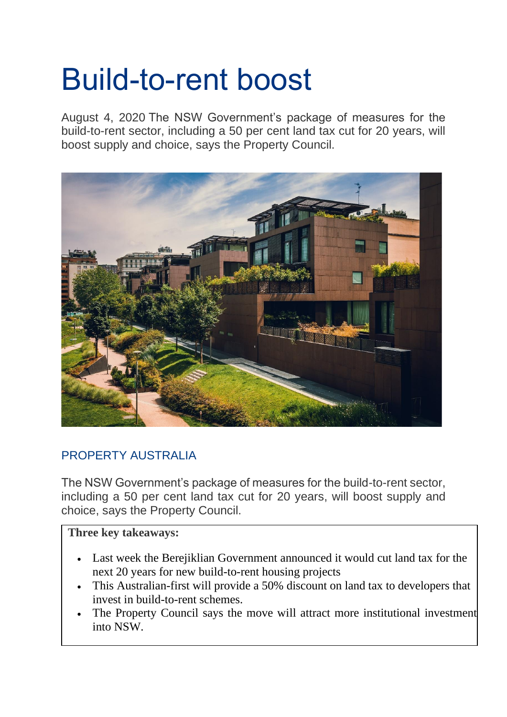## Build-to-rent boost

August 4, 2020 The NSW Government's package of measures for the build-to-rent sector, including a 50 per cent land tax cut for 20 years, will boost supply and choice, says the Property Council.



## [PROPERTY AUSTRALIA](https://info.propertycouncil.com.au/property-australia-blog/author/property-australia)

The NSW Government's package of measures for the build-to-rent sector, including a 50 per cent land tax cut for 20 years, will boost supply and choice, says the Property Council.

## **Three key takeaways:**

- Last week the Berejiklian Government announced it would cut land tax for the next 20 years for new build-to-rent housing projects
- This Australian-first will provide a 50% discount on land tax to developers that invest in build-to-rent schemes.
- The Property Council says the move will attract more institutional investment into NSW.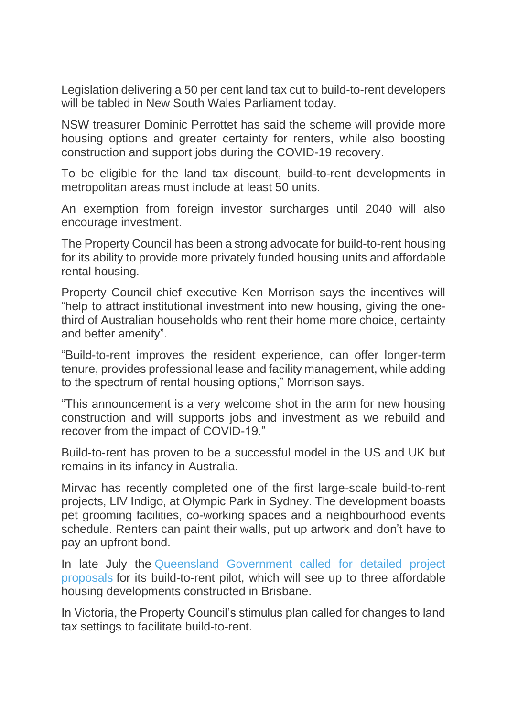Legislation delivering a 50 per cent land tax cut to build-to-rent developers will be tabled in New South Wales Parliament today.

NSW treasurer Dominic Perrottet has said the scheme will provide more housing options and greater certainty for renters, while also boosting construction and support jobs during the COVID-19 recovery.

To be eligible for the land tax discount, build-to-rent developments in metropolitan areas must include at least 50 units.

An exemption from foreign investor surcharges until 2040 will also encourage investment.

The Property Council has been a strong advocate for build-to-rent housing for its ability to provide more privately funded housing units and affordable rental housing.

Property Council chief executive Ken Morrison says the incentives will "help to attract institutional investment into new housing, giving the onethird of Australian households who rent their home more choice, certainty and better amenity".

"Build-to-rent improves the resident experience, can offer longer-term tenure, provides professional lease and facility management, while adding to the spectrum of rental housing options," Morrison says.

"This announcement is a very welcome shot in the arm for new housing construction and will supports jobs and investment as we rebuild and recover from the impact of COVID-19."

Build-to-rent has proven to be a successful model in the US and UK but remains in its infancy in Australia.

Mirvac has recently completed one of the first large-scale build-to-rent projects, LIV Indigo, at Olympic Park in Sydney. The development boasts pet grooming facilities, co-working spaces and a neighbourhood events schedule. Renters can paint their walls, put up artwork and don't have to pay an upfront bond.

In late July the [Queensland Government called for detailed project](https://www.treasury.qld.gov.au/programs-and-policies/build-to-rent-pilot-project/)  [proposals](https://www.treasury.qld.gov.au/programs-and-policies/build-to-rent-pilot-project/) for its build-to-rent pilot, which will see up to three affordable housing developments constructed in Brisbane.

In Victoria, the Property Council's stimulus plan called for changes to land tax settings to facilitate build-to-rent.